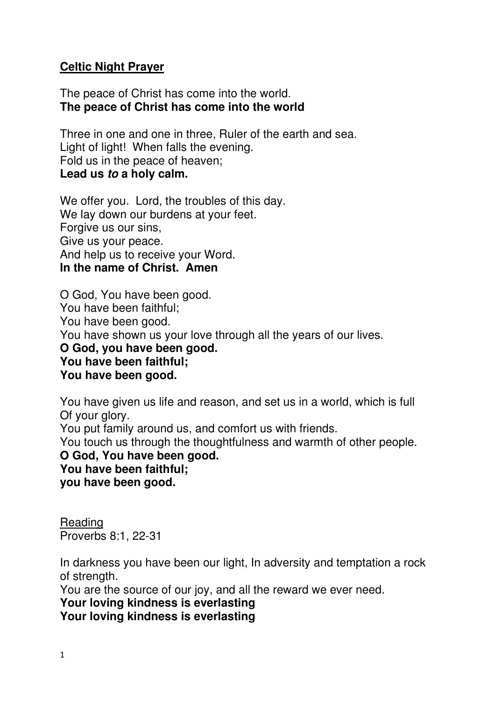## **Celtic Night Prayer**

The peace of Christ has come into the world. **The peace of Christ has come into the world** 

Three in one and one in three, Ruler of the earth and sea. Light of light! When falls the evening. Fold us in the peace of heaven; **Lead us to a holy calm.** 

We offer you. Lord, the troubles of this day. We lay down our burdens at your feet. Forgive us our sins, Give us your peace. And help us to receive your Word. **In the name of Christ. Amen** 

O God, You have been good. You have been faithful; You have been good. You have shown us your love through all the years of our lives. **O God, you have been good. You have been faithful; You have been good.** 

You have given us life and reason, and set us in a world, which is full Of your glory.

You put family around us, and comfort us with friends.

You touch us through the thoughtfulness and warmth of other people. **O God, You have been good. You have been faithful;** 

**you have been good.** 

Reading Proverbs 8:1, 22-31

In darkness you have been our light, In adversity and temptation a rock of strength.

You are the source of our joy, and all the reward we ever need.

### **Your loving kindness is everlasting**

**Your loving kindness is everlasting**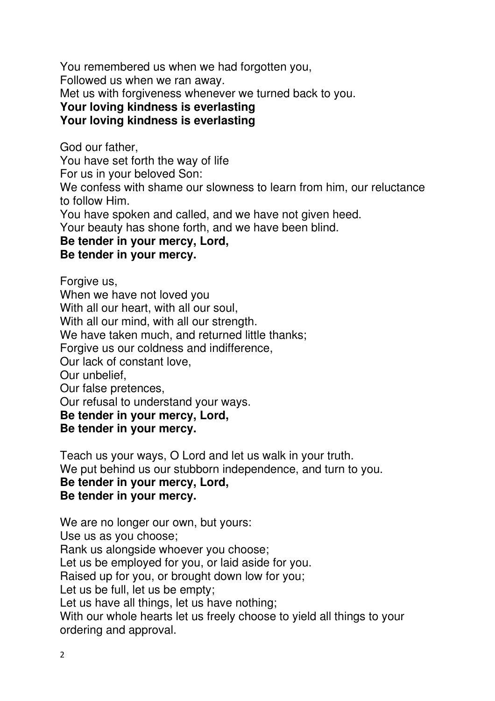You remembered us when we had forgotten you,

Followed us when we ran away.

Met us with forgiveness whenever we turned back to you.

# **Your loving kindness is everlasting**

# **Your loving kindness is everlasting**

God our father,

You have set forth the way of life

For us in your beloved Son:

We confess with shame our slowness to learn from him, our reluctance to follow Him.

You have spoken and called, and we have not given heed.

Your beauty has shone forth, and we have been blind.

#### **Be tender in your mercy, Lord,**

## **Be tender in your mercy.**

Forgive us, When we have not loved you With all our heart, with all our soul, With all our mind, with all our strength. We have taken much, and returned little thanks; Forgive us our coldness and indifference, Our lack of constant love, Our unbelief, Our false pretences, Our refusal to understand your ways. **Be tender in your mercy, Lord, Be tender in your mercy.** 

Teach us your ways, O Lord and let us walk in your truth. We put behind us our stubborn independence, and turn to you. **Be tender in your mercy, Lord, Be tender in your mercy.** 

We are no longer our own, but yours: Use us as you choose; Rank us alongside whoever you choose; Let us be employed for you, or laid aside for you. Raised up for you, or brought down low for you; Let us be full, let us be empty; Let us have all things, let us have nothing; With our whole hearts let us freely choose to yield all things to your ordering and approval.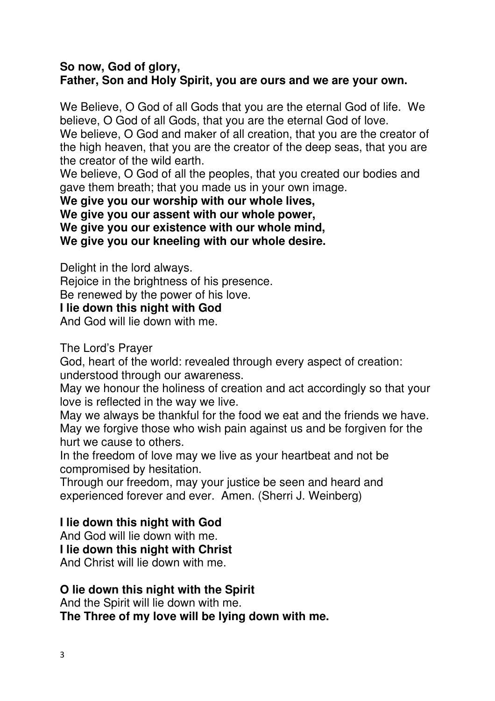### **So now, God of glory, Father, Son and Holy Spirit, you are ours and we are your own.**

We Believe, O God of all Gods that you are the eternal God of life. We believe, O God of all Gods, that you are the eternal God of love.

We believe, O God and maker of all creation, that you are the creator of the high heaven, that you are the creator of the deep seas, that you are the creator of the wild earth.

We believe, O God of all the peoples, that you created our bodies and gave them breath; that you made us in your own image.

**We give you our worship with our whole lives,** 

**We give you our assent with our whole power,** 

**We give you our existence with our whole mind,** 

**We give you our kneeling with our whole desire.** 

Delight in the lord always.

Rejoice in the brightness of his presence.

Be renewed by the power of his love.

**I lie down this night with God** 

And God will lie down with me.

The Lord's Prayer

God, heart of the world: revealed through every aspect of creation: understood through our awareness.

May we honour the holiness of creation and act accordingly so that your love is reflected in the way we live.

May we always be thankful for the food we eat and the friends we have. May we forgive those who wish pain against us and be forgiven for the hurt we cause to others.

In the freedom of love may we live as your heartbeat and not be compromised by hesitation.

Through our freedom, may your justice be seen and heard and experienced forever and ever. Amen. (Sherri J. Weinberg)

# **I lie down this night with God**

And God will lie down with me.

**I lie down this night with Christ** 

And Christ will lie down with me.

### **O lie down this night with the Spirit**

And the Spirit will lie down with me.

**The Three of my love will be lying down with me.**